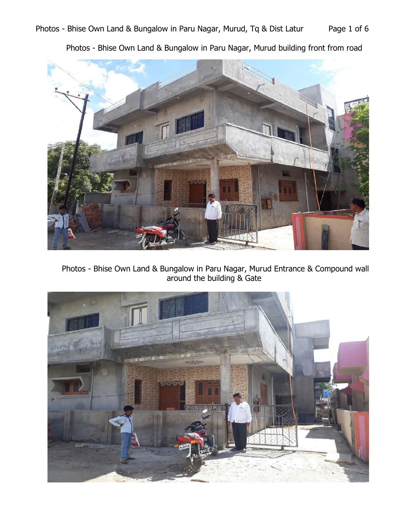

Photos - Bhise Own Land & Bungalow in Paru Nagar, Murud building front from road

Photos - Bhise Own Land & Bungalow in Paru Nagar, Murud Entrance & Compound wall around the building & Gate

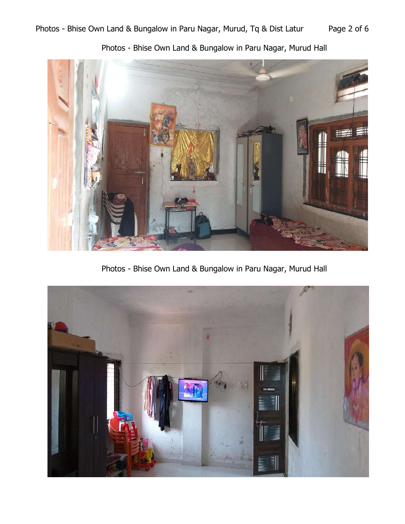

Photos - Bhise Own Land & Bungalow in Paru Nagar, Murud Hall



Photos - Bhise Own Land & Bungalow in Paru Nagar, Murud Hall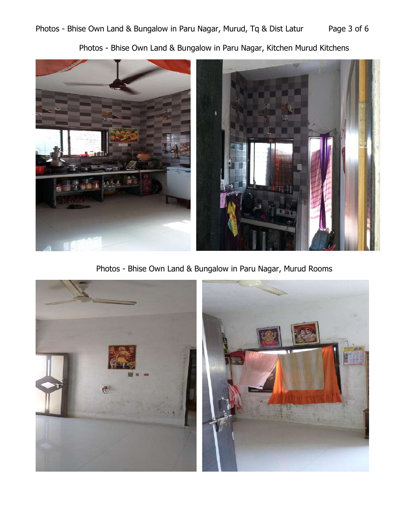Photos - Bhise Own Land & Bungalow in Paru Nagar, Kitchen Murud Kitchens



Photos - Bhise Own Land & Bungalow in Paru Nagar, Murud Rooms

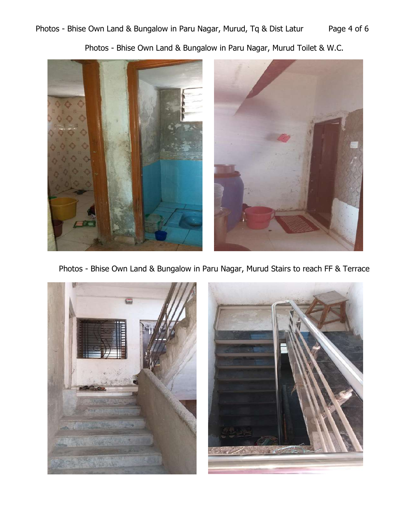Photos - Bhise Own Land & Bungalow in Paru Nagar, Murud Toilet & W.C.



Photos - Bhise Own Land & Bungalow in Paru Nagar, Murud Stairs to reach FF & Terrace

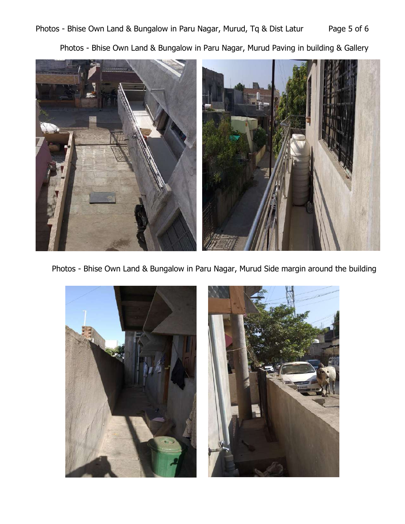Photos - Bhise Own Land & Bungalow in Paru Nagar, Murud Paving in building & Gallery



Photos - Bhise Own Land & Bungalow in Paru Nagar, Murud Side margin around the building